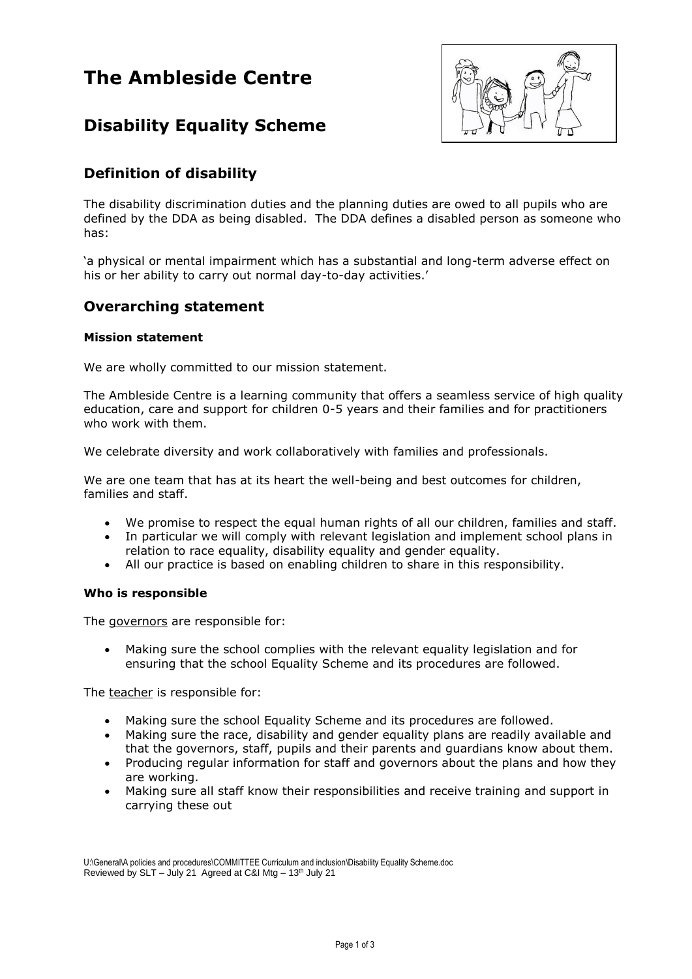# **The Ambleside Centre**



## **Disability Equality Scheme**

### **Definition of disability**

The disability discrimination duties and the planning duties are owed to all pupils who are defined by the DDA as being disabled. The DDA defines a disabled person as someone who has:

'a physical or mental impairment which has a substantial and long-term adverse effect on his or her ability to carry out normal day-to-day activities.'

### **Overarching statement**

### **Mission statement**

We are wholly committed to our mission statement.

The Ambleside Centre is a learning community that offers a seamless service of high quality education, care and support for children 0-5 years and their families and for practitioners who work with them.

We celebrate diversity and work collaboratively with families and professionals.

We are one team that has at its heart the well-being and best outcomes for children, families and staff.

- We promise to respect the equal human rights of all our children, families and staff.
- In particular we will comply with relevant legislation and implement school plans in relation to race equality, disability equality and gender equality.
- All our practice is based on enabling children to share in this responsibility.

### **Who is responsible**

The governors are responsible for:

 Making sure the school complies with the relevant equality legislation and for ensuring that the school Equality Scheme and its procedures are followed.

The teacher is responsible for:

- Making sure the school Equality Scheme and its procedures are followed.
- Making sure the race, disability and gender equality plans are readily available and that the governors, staff, pupils and their parents and guardians know about them.
- Producing regular information for staff and governors about the plans and how they are working.
- Making sure all staff know their responsibilities and receive training and support in carrying these out

U:\General\A policies and procedures\COMMITTEE Curriculum and inclusion\Disability Equality Scheme.doc Reviewed by SLT – July 21 Agreed at C&I Mtg –  $13<sup>th</sup>$  July 21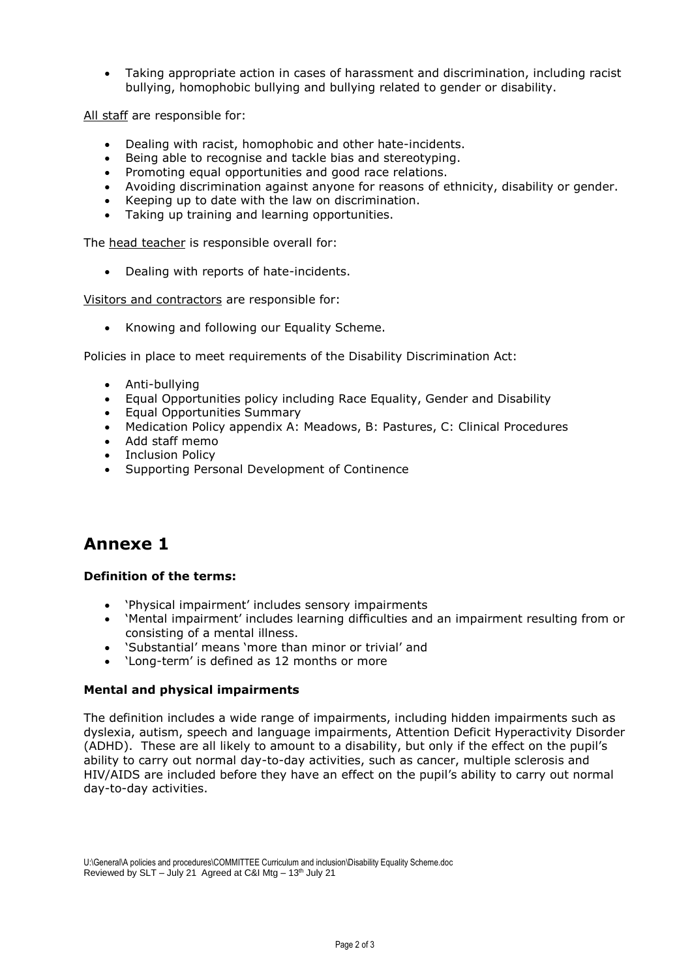Taking appropriate action in cases of harassment and discrimination, including racist bullying, homophobic bullying and bullying related to gender or disability.

All staff are responsible for:

- Dealing with racist, homophobic and other hate-incidents.
- Being able to recognise and tackle bias and stereotyping.
- Promoting equal opportunities and good race relations.
- Avoiding discrimination against anyone for reasons of ethnicity, disability or gender.
- Keeping up to date with the law on discrimination.
- Taking up training and learning opportunities.

The head teacher is responsible overall for:

Dealing with reports of hate-incidents.

Visitors and contractors are responsible for:

• Knowing and following our Equality Scheme.

Policies in place to meet requirements of the Disability Discrimination Act:

- Anti-bullying
- Equal Opportunities policy including Race Equality, Gender and Disability
- Equal Opportunities Summary
- Medication Policy appendix A: Meadows, B: Pastures, C: Clinical Procedures
- Add staff memo
- Inclusion Policy
- Supporting Personal Development of Continence

## **Annexe 1**

### **Definition of the terms:**

- 'Physical impairment' includes sensory impairments
- 'Mental impairment' includes learning difficulties and an impairment resulting from or consisting of a mental illness.
- 'Substantial' means 'more than minor or trivial' and
- 'Long-term' is defined as 12 months or more

### **Mental and physical impairments**

The definition includes a wide range of impairments, including hidden impairments such as dyslexia, autism, speech and language impairments, Attention Deficit Hyperactivity Disorder (ADHD). These are all likely to amount to a disability, but only if the effect on the pupil's ability to carry out normal day-to-day activities, such as cancer, multiple sclerosis and HIV/AIDS are included before they have an effect on the pupil's ability to carry out normal day-to-day activities.